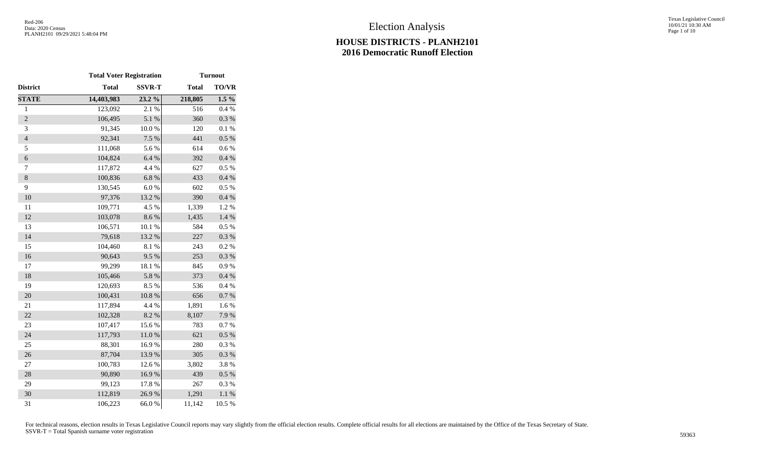|                | <b>Total Voter Registration</b> |               | <b>Turnout</b> |              |  |
|----------------|---------------------------------|---------------|----------------|--------------|--|
| District       | <b>Total</b>                    | <b>SSVR-T</b> | <b>Total</b>   | <b>TO/VR</b> |  |
| <b>STATE</b>   | 14,403,983                      | 23.2 %        | 218,805        | $1.5\%$      |  |
| $\mathbf{1}$   | 123,092                         | 2.1 %         | 516            | 0.4%         |  |
| $\overline{c}$ | 106,495                         | 5.1 %         | 360            | $0.3~\%$     |  |
| 3              | 91,345                          | $10.0\ \%$    | 120            | 0.1 %        |  |
| $\overline{4}$ | 92,341                          | 7.5 %         | 441            | $0.5~\%$     |  |
| 5              | 111,068                         | 5.6%          | 614            | 0.6 %        |  |
| $\epsilon$     | 104,824                         | $6.4~\%$      | 392            | $0.4~\%$     |  |
| $\tau$         | 117,872                         | 4.4 %         | 627            | 0.5 %        |  |
| $\,8\,$        | 100,836                         | 6.8%          | 433            | $0.4~\%$     |  |
| 9              | 130,545                         | 6.0%          | 602            | 0.5%         |  |
| 10             | 97,376                          | 13.2 %        | 390            | 0.4 %        |  |
| 11             | 109,771                         | 4.5 %         | 1,339          | 1.2%         |  |
| 12             | 103,078                         | 8.6 %         | 1,435          | 1.4 %        |  |
| 13             | 106,571                         | 10.1 %        | 584            | 0.5%         |  |
| 14             | 79,618                          | 13.2 %        | 227            | 0.3 %        |  |
| 15             | 104,460                         | 8.1 %         | 243            | 0.2 %        |  |
| 16             | 90,643                          | 9.5%          | 253            | $0.3~\%$     |  |
| 17             | 99,299                          | 18.1%         | 845            | 0.9%         |  |
| 18             | 105,466                         | 5.8 %         | 373            | 0.4 %        |  |
| 19             | 120,693                         | 8.5 %         | 536            | 0.4 %        |  |
| 20             | 100,431                         | $10.8~\%$     | 656            | 0.7 %        |  |
| 21             | 117,894                         | 4.4 %         | 1,891          | $1.6\ \%$    |  |
| 22             | 102,328                         | $8.2~\%$      | 8,107          | 7.9%         |  |
| 23             | 107,417                         | 15.6%         | 783            | 0.7%         |  |
| 24             | 117,793                         | $11.0\ \%$    | 621            | $0.5~\%$     |  |
| 25             | 88,301                          | 16.9%         | 280            | 0.3%         |  |
| 26             | 87,704                          | 13.9%         | 305            | 0.3 %        |  |
| 27             | 100,783                         | 12.6 %        | 3,802          | 3.8%         |  |
| 28             | 90,890                          | 16.9%         | 439            | $0.5~\%$     |  |
| 29             | 99,123                          | 17.8%         | 267            | 0.3%         |  |
| 30             | 112,819                         | 26.9%         | 1,291          | $1.1~\%$     |  |
| 31             | 106,223                         | 66.0%         | 11,142         | 10.5 %       |  |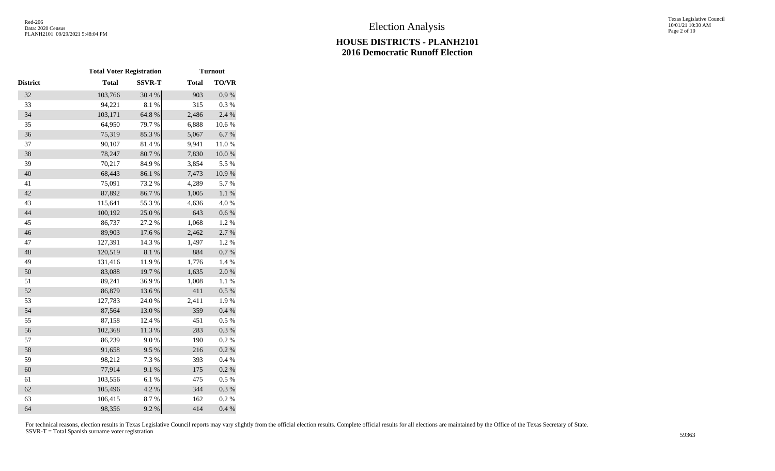|                 | <b>Total Voter Registration</b> |               | <b>Turnout</b> |              |
|-----------------|---------------------------------|---------------|----------------|--------------|
| <b>District</b> | <b>Total</b>                    | <b>SSVR-T</b> | <b>Total</b>   | <b>TO/VR</b> |
| 32              | 103,766                         | 30.4 %        | 903            | 0.9%         |
| 33              | 94,221                          | 8.1%          | 315            | 0.3%         |
| 34              | 103,171                         | 64.8 %        | 2,486          | 2.4 %        |
| 35              | 64,950                          | 79.7 %        | 6,888          | 10.6%        |
| 36              | 75,319                          | 85.3%         | 5,067          | 6.7%         |
| 37              | 90,107                          | 81.4%         | 9,941          | 11.0%        |
| 38              | 78,247                          | 80.7 %        | 7,830          | $10.0~\%$    |
| 39              | 70,217                          | 84.9%         | 3,854          | 5.5 %        |
| 40              | 68,443                          | 86.1 %        | 7,473          | $10.9~\%$    |
| 41              | 75,091                          | 73.2 %        | 4,289          | 5.7%         |
| 42              | 87,892                          | 86.7%         | 1,005          | 1.1%         |
| 43              | 115,641                         | 55.3%         | 4,636          | 4.0%         |
| 44              | 100,192                         | 25.0%         | 643            | $0.6\ \%$    |
| 45              | 86,737                          | 27.2 %        | 1,068          | 1.2%         |
| 46              | 89,903                          | 17.6 %        | 2,462          | 2.7 %        |
| 47              | 127,391                         | 14.3 %        | 1,497          | 1.2%         |
| 48              | 120,519                         | $8.1~\%$      | 884            | $0.7~\%$     |
| 49              | 131,416                         | 11.9%         | 1,776          | 1.4 %        |
| 50              | 83,088                          | 19.7%         | 1,635          | 2.0%         |
| 51              | 89,241                          | 36.9%         | 1,008          | 1.1 %        |
| 52              | 86,879                          | 13.6 %        | 411            | $0.5~\%$     |
| 53              | 127,783                         | 24.0%         | 2,411          | 1.9%         |
| 54              | 87,564                          | 13.0%         | 359            | 0.4 %        |
| 55              | 87,158                          | 12.4 %        | 451            | $0.5~\%$     |
| 56              | 102,368                         | $11.3\ \%$    | 283            | 0.3 %        |
| 57              | 86,239                          | $9.0\;\%$     | 190            | $0.2~\%$     |
| 58              | 91,658                          | 9.5%          | 216            | $0.2~\%$     |
| 59              | 98,212                          | 7.3 %         | 393            | 0.4 %        |
| 60              | 77,914                          | 9.1%          | 175            | 0.2 %        |
| 61              | 103,556                         | 6.1%          | 475            | $0.5~\%$     |
| 62              | 105,496                         | 4.2 %         | 344            | $0.3~\%$     |
| 63              | 106,415                         | 8.7%          | 162            | 0.2 %        |
| 64              | 98,356                          | 9.2 %         | 414            | 0.4 %        |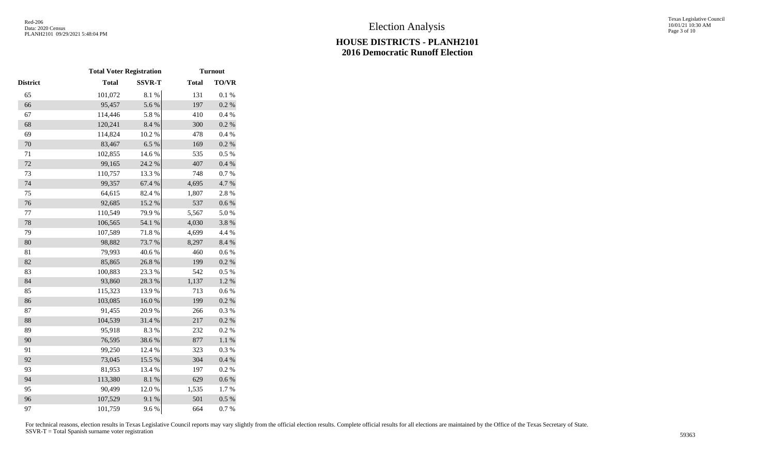|          | <b>Total Voter Registration</b> |               | <b>Turnout</b> |              |
|----------|---------------------------------|---------------|----------------|--------------|
| District | <b>Total</b>                    | <b>SSVR-T</b> | <b>Total</b>   | <b>TO/VR</b> |
| 65       | 101,072                         | $8.1~\%$      | 131            | $0.1~\%$     |
| 66       | 95,457                          | 5.6 %         | 197            | 0.2 %        |
| 67       | 114,446                         | 5.8 %         | 410            | $0.4~\%$     |
| 68       | 120,241                         | 8.4 %         | 300            | 0.2 %        |
| 69       | 114,824                         | 10.2 %        | 478            | 0.4%         |
| 70       | 83,467                          | 6.5%          | 169            | 0.2 %        |
| 71       | 102,855                         | 14.6 %        | 535            | 0.5 %        |
| 72       | 99,165                          | 24.2 %        | 407            | $0.4~\%$     |
| 73       | 110,757                         | 13.3 %        | 748            | 0.7%         |
| 74       | 99,357                          | 67.4 %        | 4,695          | 4.7%         |
| 75       | 64,615                          | 82.4 %        | 1,807          | 2.8%         |
| 76       | 92,685                          | 15.2 %        | 537            | 0.6 %        |
| 77       | 110,549                         | 79.9%         | 5,567          | 5.0%         |
| 78       | 106,565                         | 54.1 %        | 4,030          | 3.8 %        |
| 79       | 107,589                         | 71.8 %        | 4,699          | 4.4 %        |
| 80       | 98,882                          | 73.7%         | 8,297          | 8.4 %        |
| 81       | 79,993                          | 40.6%         | 460            | 0.6 %        |
| 82       | 85,865                          | 26.8%         | 199            | 0.2 %        |
| 83       | 100,883                         | 23.3 %        | 542            | 0.5 %        |
| 84       | 93,860                          | 28.3 %        | 1,137          | $1.2~\%$     |
| 85       | 115,323                         | 13.9%         | 713            | 0.6 %        |
| 86       | 103,085                         | $16.0\ \%$    | 199            | $0.2~\%$     |
| 87       | 91,455                          | 20.9%         | 266            | 0.3 %        |
| 88       | 104,539                         | 31.4 %        | 217            | 0.2 %        |
| 89       | 95,918                          | 8.3%          | 232            | 0.2 %        |
| 90       | 76,595                          | 38.6%         | 877            | $1.1~\%$     |
| 91       | 99,250                          | 12.4 %        | 323            | 0.3%         |
| 92       | 73,045                          | 15.5 %        | 304            | 0.4 %        |
| 93       | 81,953                          | 13.4 %        | 197            | 0.2 %        |
| 94       | 113,380                         | $8.1~\%$      | 629            | 0.6 %        |
| 95       | 90,499                          | 12.0%         | 1,535          | 1.7%         |
| 96       | 107,529                         | 9.1 %         | 501            | $0.5~\%$     |
| 97       | 101,759                         | 9.6%          | 664            | 0.7%         |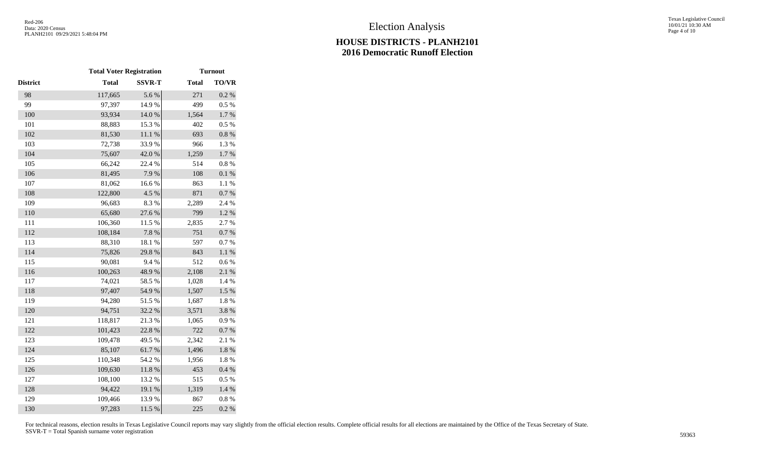|                 | <b>Total Voter Registration</b> |               | <b>Turnout</b> |              |
|-----------------|---------------------------------|---------------|----------------|--------------|
| <b>District</b> | <b>Total</b>                    | <b>SSVR-T</b> | <b>Total</b>   | <b>TO/VR</b> |
| 98              | 117,665                         | 5.6 %         | 271            | 0.2 %        |
| 99              | 97,397                          | 14.9%         | 499            | 0.5 %        |
| 100             | 93,934                          | $14.0\ \%$    | 1,564          | $1.7~\%$     |
| 101             | 88,883                          | 15.3 %        | 402            | 0.5%         |
| 102             | 81,530                          | 11.1 %        | 693            | $0.8~\%$     |
| 103             | 72,738                          | 33.9%         | 966            | 1.3%         |
| 104             | 75,607                          | 42.0%         | 1,259          | $1.7~\%$     |
| 105             | 66,242                          | 22.4 %        | 514            | $0.8~\%$     |
| 106             | 81,495                          | 7.9%          | 108            | $0.1~\%$     |
| 107             | 81,062                          | $16.6~\%$     | 863            | 1.1%         |
| 108             | 122,800                         | 4.5 %         | 871            | 0.7 %        |
| 109             | 96,683                          | 8.3%          | 2,289          | 2.4 %        |
| 110             | 65,680                          | 27.6 %        | 799            | $1.2~\%$     |
| 111             | 106,360                         | 11.5 %        | 2,835          | 2.7%         |
| 112             | 108,184                         | $7.8\ \%$     | 751            | $0.7~\%$     |
| 113             | 88,310                          | 18.1%         | 597            | 0.7%         |
| 114             | 75,826                          | 29.8%         | 843            | $1.1~\%$     |
| 115             | 90,081                          | 9.4%          | 512            | 0.6%         |
| 116             | 100,263                         | 48.9%         | 2,108          | 2.1%         |
| 117             | 74,021                          | 58.5 %        | 1,028          | 1.4 %        |
| 118             | 97,407                          | 54.9%         | 1,507          | $1.5~\%$     |
| 119             | 94,280                          | 51.5%         | 1,687          | 1.8%         |
| 120             | 94,751                          | 32.2 %        | 3,571          | 3.8%         |
| 121             | 118,817                         | 21.3%         | 1,065          | 0.9 %        |
| 122             | 101,423                         | 22.8 %        | 722            | $0.7~\%$     |
| 123             | 109,478                         | 49.5 %        | 2,342          | 2.1 %        |
| 124             | 85,107                          | 61.7%         | 1,496          | $1.8~\%$     |
| 125             | 110,348                         | 54.2 %        | 1,956          | 1.8%         |
| 126             | 109,630                         | $11.8\ \%$    | 453            | 0.4 %        |
| 127             | 108,100                         | 13.2 %        | 515            | 0.5 %        |
| 128             | 94,422                          | 19.1 %        | 1,319          | 1.4 %        |
| 129             | 109,466                         | 13.9%         | 867            | $0.8\%$      |
| 130             | 97,283                          | 11.5 %        | 225            | 0.2 %        |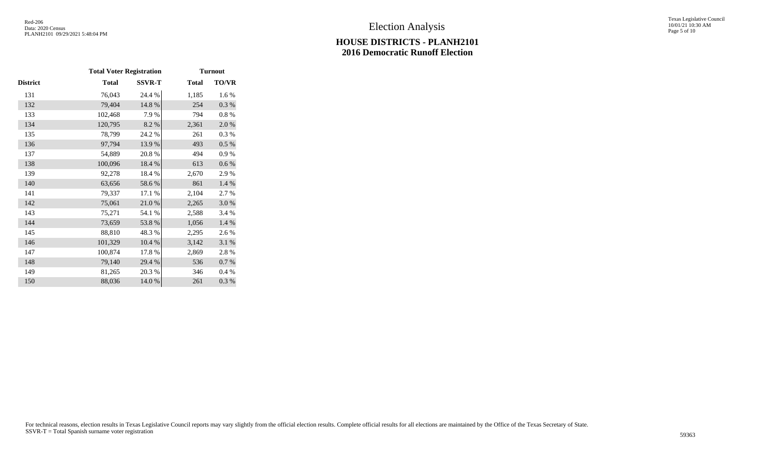|          | <b>Total Voter Registration</b> |               | <b>Turnout</b> |           |
|----------|---------------------------------|---------------|----------------|-----------|
| District | <b>Total</b>                    | <b>SSVR-T</b> | <b>Total</b>   | TO/VR     |
| 131      | 76,043                          | 24.4 %        | 1,185          | 1.6%      |
| 132      | 79,404                          | 14.8%         | 254            | 0.3%      |
| 133      | 102,468                         | 7.9%          | 794            | 0.8%      |
| 134      | 120,795                         | 8.2 %         | 2,361          | 2.0%      |
| 135      | 78,799                          | 24.2 %        | 261            | 0.3%      |
| 136      | 97,794                          | 13.9%         | 493            | 0.5 %     |
| 137      | 54,889                          | 20.8%         | 494            | 0.9%      |
| 138      | 100,096                         | 18.4 %        | 613            | $0.6\,\%$ |
| 139      | 92,278                          | 18.4%         | 2,670          | 2.9%      |
| 140      | 63,656                          | 58.6%         | 861            | 1.4 %     |
| 141      | 79,337                          | 17.1 %        | 2,104          | 2.7 %     |
| 142      | 75,061                          | 21.0%         | 2,265          | $3.0\ \%$ |
| 143      | 75,271                          | 54.1 %        | 2,588          | 3.4 %     |
| 144      | 73,659                          | 53.8%         | 1,056          | 1.4 %     |
| 145      | 88,810                          | 48.3%         | 2,295          | 2.6 %     |
| 146      | 101,329                         | 10.4 %        | 3,142          | 3.1 %     |
| 147      | 100,874                         | 17.8%         | 2,869          | 2.8%      |
| 148      | 79,140                          | 29.4 %        | 536            | 0.7 %     |
| 149      | 81,265                          | 20.3 %        | 346            | 0.4 %     |
| 150      | 88,036                          | 14.0%         | 261            | 0.3%      |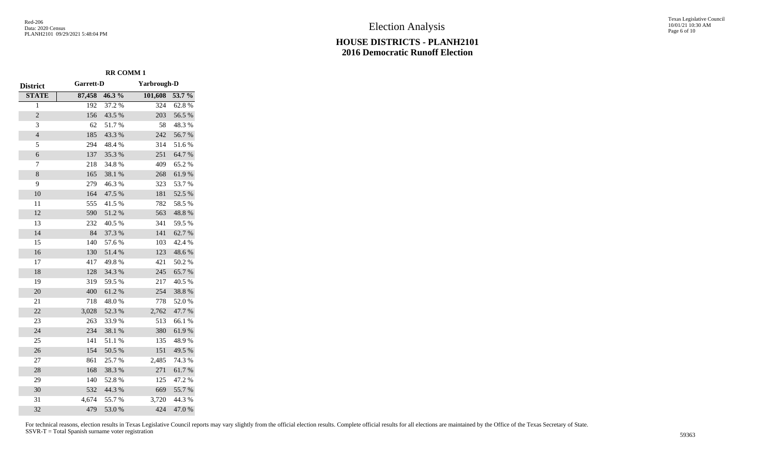Texas Legislative Council 10/01/21 10:30 AM Page 6 of 10

|                 | <b>RR COMM1</b> |        |                    |        |
|-----------------|-----------------|--------|--------------------|--------|
| <b>District</b> | Garrett-D       |        | <b>Yarbrough-D</b> |        |
| <b>STATE</b>    | 87,458          | 46.3%  | 101,608            | 53.7 % |
| $\overline{1}$  | 192             | 37.2 % | 324                | 62.8%  |
| $\overline{c}$  | 156             | 43.5 % | 203                | 56.5 % |
| 3               | 62              | 51.7%  | 58                 | 48.3%  |
| $\overline{4}$  | 185             | 43.3 % | 242                | 56.7%  |
| 5               | 294             | 48.4 % | 314                | 51.6%  |
| 6               | 137             | 35.3%  | 251                | 64.7%  |
| 7               | 218             | 34.8%  | 409                | 65.2%  |
| 8               | 165             | 38.1 % | 268                | 61.9%  |
| 9               | 279             | 46.3%  | 323                | 53.7%  |
| 10              | 164             | 47.5 % | 181                | 52.5 % |
| 11              | 555             | 41.5%  | 782                | 58.5 % |
| 12              | 590             | 51.2%  | 563                | 48.8%  |
| 13              | 232             | 40.5 % | 341                | 59.5 % |
| 14              | 84              | 37.3 % | 141                | 62.7%  |
| 15              | 140             | 57.6%  | 103                | 42.4 % |
| 16              | 130             | 51.4%  | 123                | 48.6%  |
| 17              | 417             | 49.8%  | 421                | 50.2%  |
| 18              | 128             | 34.3 % | 245                | 65.7%  |
| 19              | 319             | 59.5 % | 217                | 40.5 % |
| 20              | 400             | 61.2%  | 254                | 38.8%  |
| 21              | 718             | 48.0%  | 778                | 52.0%  |
| 22              | 3,028           | 52.3 % | 2,762              | 47.7%  |
| 23              | 263             | 33.9%  | 513                | 66.1%  |
| 24              | 234             | 38.1 % | 380                | 61.9%  |
| 25              | 141             | 51.1%  | 135                | 48.9%  |
| 26              | 154             | 50.5 % | 151                | 49.5 % |
| 27              | 861             | 25.7%  | 2,485              | 74.3 % |
| 28              | 168             | 38.3%  | 271                | 61.7%  |
| 29              | 140             | 52.8%  | 125                | 47.2 % |
| 30              | 532             | 44.3 % | 669                | 55.7%  |
| 31              | 4,674           | 55.7%  | 3,720              | 44.3 % |
| 32              | 479             | 53.0%  | 424                | 47.0%  |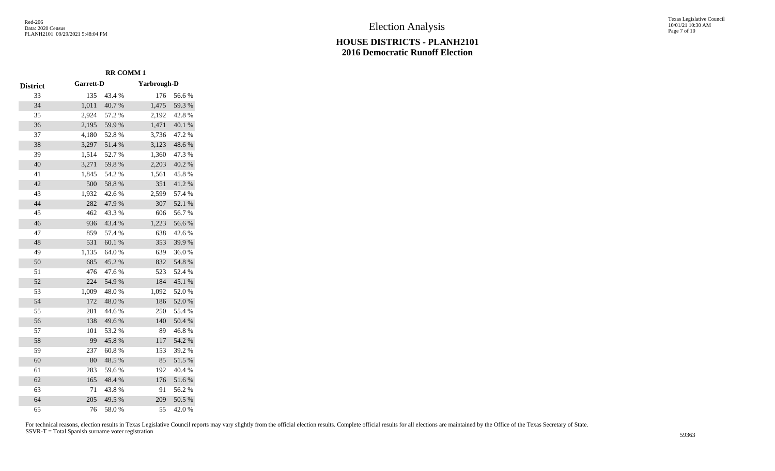# Election Analysis

#### **HOUSE DISTRICTS - PLANH2101 2016 Democratic Runoff Election**

Texas Legislative Council 10/01/21 10:30 AM Page 7 of 10

|                 | <b>RR COMM1</b> |        |                    |           |  |
|-----------------|-----------------|--------|--------------------|-----------|--|
| <b>District</b> | Garrett-D       |        | <b>Yarbrough-D</b> |           |  |
| 33              | 135             | 43.4 % | 176                | 56.6%     |  |
| 34              | 1,011           | 40.7%  | 1,475              | 59.3%     |  |
| 35              | 2,924           | 57.2 % | 2,192              | 42.8%     |  |
| 36              | 2,195           | 59.9%  | 1,471              | 40.1 %    |  |
| 37              | 4,180           | 52.8%  | 3,736              | 47.2%     |  |
| 38              | 3,297           | 51.4%  | 3,123              | 48.6%     |  |
| 39              | 1,514           | 52.7%  | 1,360              | 47.3 %    |  |
| 40              | 3,271           | 59.8%  | 2,203              | 40.2 %    |  |
| 41              | 1,845           | 54.2 % | 1,561              | 45.8%     |  |
| 42              | 500             | 58.8%  | 351                | 41.2%     |  |
| 43              | 1,932           | 42.6%  | 2,599              | 57.4 %    |  |
| 44              | 282             | 47.9%  | 307                | 52.1 %    |  |
| 45              | 462             | 43.3%  | 606                | 56.7%     |  |
| 46              | 936             | 43.4 % | 1,223              | 56.6%     |  |
| 47              | 859             | 57.4 % | 638                | 42.6%     |  |
| 48              | 531             | 60.1%  | 353                | 39.9%     |  |
| 49              | 1,135           | 64.0%  | 639                | 36.0%     |  |
| 50              | 685             | 45.2%  | 832                | 54.8%     |  |
| 51              | 476             | 47.6%  | 523                | 52.4 %    |  |
| 52              | 224             | 54.9%  | 184                | 45.1 %    |  |
| 53              | 1,009           | 48.0%  | 1,092              | 52.0%     |  |
| 54              | 172             | 48.0%  | 186                | 52.0%     |  |
| 55              | 201             | 44.6 % | 250                | 55.4 %    |  |
| 56              | 138             | 49.6%  | 140                | 50.4 %    |  |
| 57              | 101             | 53.2%  | 89                 | 46.8%     |  |
| 58              | 99              | 45.8%  | 117                | 54.2 %    |  |
| 59              | 237             | 60.8%  | 153                | 39.2 %    |  |
| 60              | 80              | 48.5 % | 85                 | 51.5%     |  |
| 61              | 283             | 59.6%  | 192                | $40.4~\%$ |  |
| 62              | 165             | 48.4 % | 176                | 51.6%     |  |
| 63              | 71              | 43.8%  | 91                 | 56.2%     |  |
| 64              | 205             | 49.5 % | 209                | 50.5 %    |  |
| 65              | 76              | 58.0%  | 55                 | 42.0%     |  |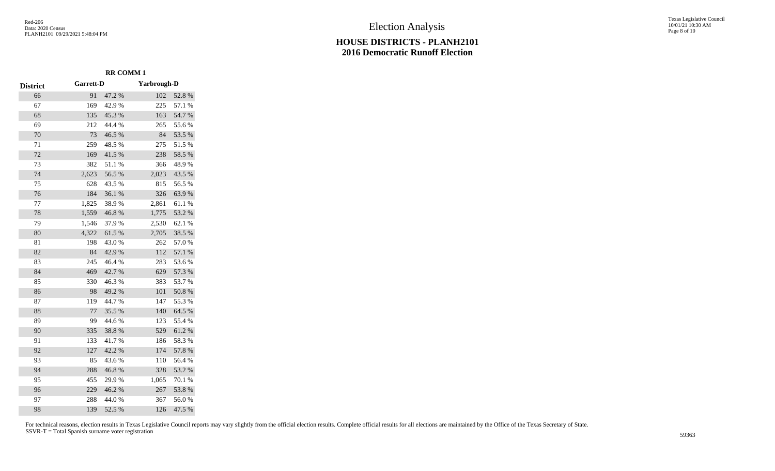Texas Legislative Council 10/01/21 10:30 AM Page 8 of 10

|                 | <b>RR COMM1</b>  |        |                    |        |
|-----------------|------------------|--------|--------------------|--------|
| <b>District</b> | <b>Garrett-D</b> |        | <b>Yarbrough-D</b> |        |
| 66              | 91               | 47.2 % | 102                | 52.8%  |
| 67              | 169              | 42.9%  | 225                | 57.1 % |
| 68              | 135              | 45.3%  | 163                | 54.7%  |
| 69              | 212              | 44.4 % | 265                | 55.6%  |
| 70              | 73               | 46.5%  | 84                 | 53.5 % |
| 71              | 259              | 48.5%  | 275                | 51.5%  |
| 72              | 169              | 41.5%  | 238                | 58.5 % |
| 73              | 382              | 51.1%  | 366                | 48.9%  |
| 74              | 2,623            | 56.5 % | 2,023              | 43.5 % |
| 75              | 628              | 43.5 % | 815                | 56.5 % |
| 76              | 184              | 36.1 % | 326                | 63.9%  |
| 77              | 1,825            | 38.9%  | 2,861              | 61.1%  |
| 78              | 1,559            | 46.8%  | 1,775              | 53.2 % |
| 79              | 1,546            | 37.9%  | 2,530              | 62.1 % |
| 80              | 4,322            | 61.5%  | 2,705              | 38.5 % |
| 81              | 198              | 43.0%  | 262                | 57.0%  |
| 82              | 84               | 42.9%  | 112                | 57.1 % |
| 83              | 245              | 46.4%  | 283                | 53.6%  |
| 84              | 469              | 42.7%  | 629                | 57.3 % |
| 85              | 330              | 46.3%  | 383                | 53.7%  |
| 86              | 98               | 49.2%  | 101                | 50.8%  |
| 87              | 119              | 44.7%  | 147                | 55.3%  |
| 88              | 77               | 35.5 % | 140                | 64.5 % |
| 89              | 99               | 44.6%  | 123                | 55.4 % |
| 90              | 335              | 38.8%  | 529                | 61.2%  |
| 91              | 133              | 41.7%  | 186                | 58.3%  |
| 92              | 127              | 42.2 % | 174                | 57.8 % |
| 93              | 85               | 43.6%  | 110                | 56.4 % |
| 94              | 288              | 46.8%  | 328                | 53.2 % |
| 95              | 455              | 29.9%  | 1,065              | 70.1 % |
| 96              | 229              | 46.2%  | 267                | 53.8%  |
| 97              | 288              | 44.0%  | 367                | 56.0%  |
| 98              | 139              | 52.5 % | 126                | 47.5 % |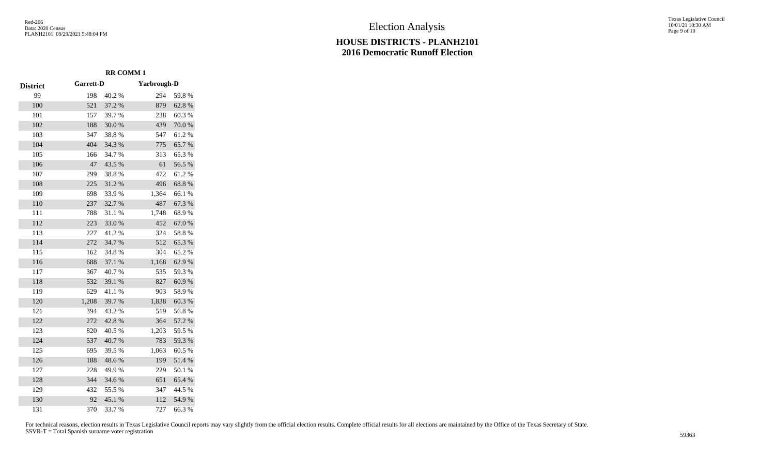Texas Legislative Council 10/01/21 10:30 AM Page 9 of 10

|                 | <b>RR COMM1</b> |        |             |        |
|-----------------|-----------------|--------|-------------|--------|
| <b>District</b> | Garrett-D       |        | Yarbrough-D |        |
| 99              | 198             | 40.2%  | 294         | 59.8%  |
| 100             | 521             | 37.2 % | 879         | 62.8%  |
| 101             | 157             | 39.7 % | 238         | 60.3%  |
| 102             | 188             | 30.0%  | 439         | 70.0%  |
| 103             | 347             | 38.8%  | 547         | 61.2%  |
| 104             | 404             | 34.3 % | 775         | 65.7%  |
| 105             | 166             | 34.7 % | 313         | 65.3%  |
| 106             | 47              | 43.5 % | 61          | 56.5%  |
| 107             | 299             | 38.8%  | 472         | 61.2%  |
| 108             | 225             | 31.2%  | 496         | 68.8%  |
| 109             | 698             | 33.9%  | 1,364       | 66.1%  |
| 110             | 237             | 32.7 % | 487         | 67.3%  |
| 111             | 788             | 31.1%  | 1,748       | 68.9%  |
| 112             | 223             | 33.0%  | 452         | 67.0%  |
| 113             | 227             | 41.2%  | 324         | 58.8%  |
| 114             | 272             | 34.7 % | 512         | 65.3%  |
| 115             | 162             | 34.8%  | 304         | 65.2%  |
| 116             | 688             | 37.1 % | 1,168       | 62.9%  |
| 117             | 367             | 40.7%  | 535         | 59.3%  |
| 118             | 532             | 39.1 % | 827         | 60.9%  |
| 119             | 629             | 41.1%  | 903         | 58.9%  |
| 120             | 1,208           | 39.7%  | 1,838       | 60.3%  |
| 121             | 394             | 43.2%  | 519         | 56.8%  |
| 122             | 272             | 42.8%  | 364         | 57.2 % |
| 123             | 820             | 40.5 % | 1,203       | 59.5 % |
| 124             | 537             | 40.7%  | 783         | 59.3%  |
| 125             | 695             | 39.5 % | 1,063       | 60.5 % |
| 126             | 188             | 48.6%  | 199         | 51.4%  |
| 127             | 228             | 49.9%  | 229         | 50.1 % |
| 128             | 344             | 34.6%  | 651         | 65.4 % |
| 129             | 432             | 55.5 % | 347         | 44.5 % |
| 130             | 92              | 45.1 % | 112         | 54.9%  |

370 33.7 % 727 66.3 %